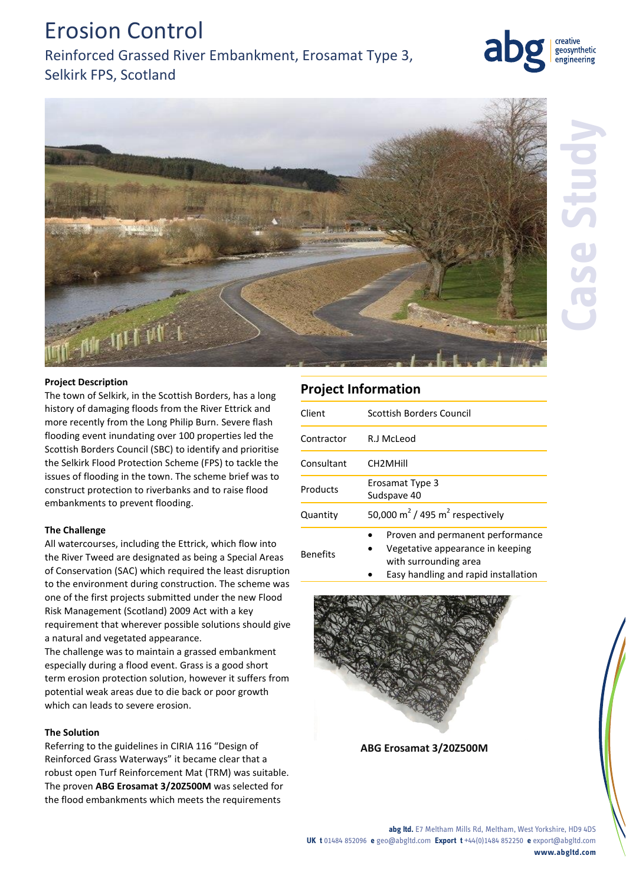# Erosion Control

Reinforced Grassed River Embankment, Erosamat Type 3, Selkirk FPS, Scotland



geosynthetic engineering

## **Project Description**

The town of Selkirk, in the Scottish Borders, has a long history of damaging floods from the River Ettrick and more recently from the Long Philip Burn. Severe flash flooding event inundating over 100 properties led the Scottish Borders Council (SBC) to identify and prioritise the Selkirk Flood Protection Scheme (FPS) to tackle the issues of flooding in the town. The scheme brief was to construct protection to riverbanks and to raise flood embankments to prevent flooding.

## **The Challenge**

All watercourses, including the Ettrick, which flow into the River Tweed are designated as being a Special Areas of Conservation (SAC) which required the least disruption to the environment during construction. The scheme was one of the first projects submitted under the new Flood Risk Management (Scotland) 2009 Act with a key requirement that wherever possible solutions should give a natural and vegetated appearance.

The challenge was to maintain a grassed embankment especially during a flood event. Grass is a good short term erosion protection solution, however it suffers from potential weak areas due to die back or poor growth which can leads to severe erosion.

## **The Solution**

Referring to the guidelines in CIRIA 116 "Design of Reinforced Grass Waterways" it became clear that a robust open Turf Reinforcement Mat (TRM) was suitable. The proven **ABG Erosamat 3/20Z500M** was selected for the flood embankments which meets the requirements

# **Project Information**

| Client          | Scottish Borders Council                                                                      |
|-----------------|-----------------------------------------------------------------------------------------------|
| Contractor      | R.J McLeod                                                                                    |
| Consultant      | CH <sub>2</sub> MHill                                                                         |
| Products        | Erosamat Type 3<br>Sudspave 40                                                                |
| Quantity        | 50,000 m <sup>2</sup> / 495 m <sup>2</sup> respectively                                       |
| <b>Benefits</b> | Proven and permanent performance<br>Vegetative appearance in keeping<br>with surrounding area |

Easy handling and rapid installation



**ABG Erosamat 3/20Z500M**